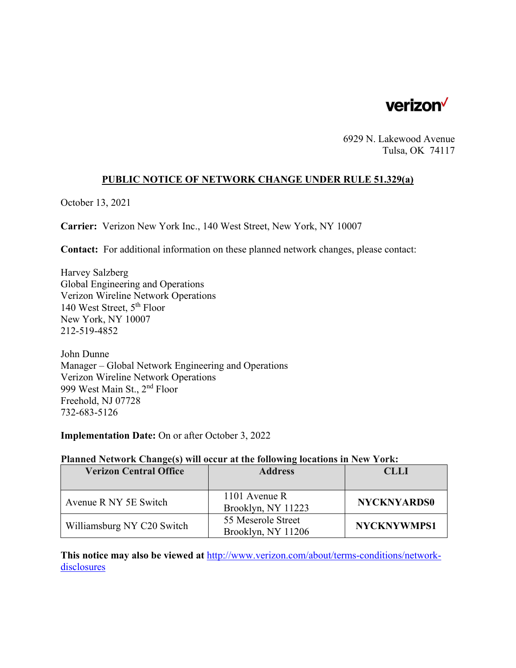

6929 N. Lakewood Avenue Tulsa, OK 74117

#### **PUBLIC NOTICE OF NETWORK CHANGE UNDER RULE 51.329(a)**

October 13, 2021

**Carrier:** Verizon New York Inc., 140 West Street, New York, NY 10007

**Contact:** For additional information on these planned network changes, please contact:

Harvey Salzberg Global Engineering and Operations Verizon Wireline Network Operations 140 West Street, 5th Floor New York, NY 10007 212-519-4852

John Dunne Manager – Global Network Engineering and Operations Verizon Wireline Network Operations 999 West Main St., 2nd Floor Freehold, NJ 07728 732-683-5126

**Implementation Date:** On or after October 3, 2022

#### **Planned Network Change(s) will occur at the following locations in New York:**

| <b>Verizon Central Office</b> | <b>Address</b>                           | <b>CLLI</b>        |
|-------------------------------|------------------------------------------|--------------------|
|                               |                                          |                    |
| Avenue R NY 5E Switch         | 1101 Avenue R<br>Brooklyn, NY 11223      | <b>NYCKNYARDS0</b> |
| Williamsburg NY C20 Switch    | 55 Meserole Street<br>Brooklyn, NY 11206 | <b>NYCKNYWMPS1</b> |

**This notice may also be viewed at** http://www.verizon.com/about/terms-conditions/networkdisclosures